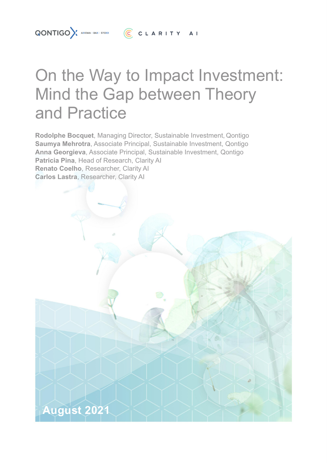# On the Way to Impact Investment: Mind the Gap between Theory and Practice

**Rodolphe Bocquet**, Managing Director, Sustainable Investment, Qontigo **Saumya Mehrotra**, Associate Principal, Sustainable Investment, Qontigo **Anna Georgieva**, Associate Principal, Sustainable Investment, Qontigo **Patricia Pina**, Head of Research, Clarity AI **Renato Coelho**, Researcher, Clarity AI **Carlos Lastra**, Researcher, Clarity AI

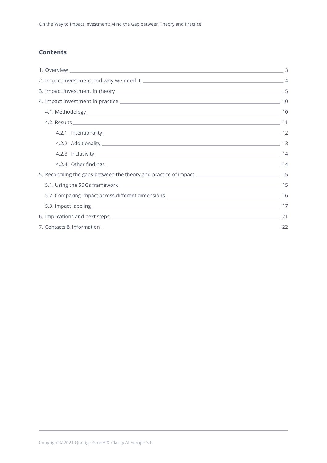# **Contents**

|                                                                                                     | 3  |
|-----------------------------------------------------------------------------------------------------|----|
|                                                                                                     |    |
|                                                                                                     |    |
|                                                                                                     |    |
|                                                                                                     | 10 |
|                                                                                                     |    |
|                                                                                                     |    |
|                                                                                                     |    |
|                                                                                                     |    |
|                                                                                                     | 14 |
| 5. Reconciling the gaps between the theory and practice of impact 2000 2000 2000 2000 2000 2000 315 |    |
|                                                                                                     |    |
|                                                                                                     |    |
|                                                                                                     |    |
|                                                                                                     | 21 |
|                                                                                                     |    |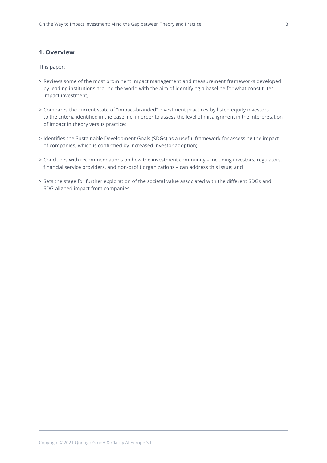# <span id="page-2-0"></span>**1. Overview**

This paper:

- > Reviews some of the most prominent impact management and measurement frameworks developed by leading institutions around the world with the aim of identifying a baseline for what constitutes impact investment;
- > Compares the current state of "impact-branded" investment practices by listed equity investors to the criteria identified in the baseline, in order to assess the level of misalignment in the interpretation of impact in theory versus practice;
- > Identifies the Sustainable Development Goals (SDGs) as a useful framework for assessing the impact of companies, which is confirmed by increased investor adoption;
- > Concludes with recommendations on how the investment community including investors, regulators, financial service providers, and non-profit organizations – can address this issue; and
- > Sets the stage for further exploration of the societal value associated with the different SDGs and SDG-aligned impact from companies.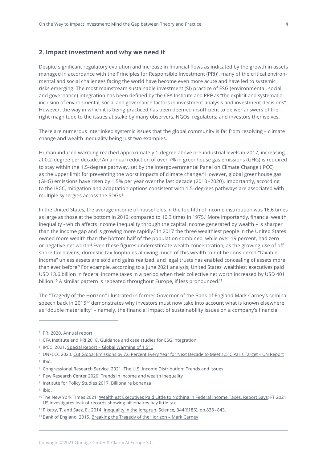# <span id="page-3-0"></span>**2. Impact investment and why we need it**

Despite significant regulatory evolution and increase in financial flows as indicated by the growth in assets managed in accordance with the Principles for Responsible Investment (PRI)<sup>1</sup>, many of the critical environmental and social challenges facing the world have become even more acute and have led to systemic risks emerging. The most mainstream sustainable investment (SI) practice of ESG (environmental, social, and governance) integration has been defined by the CFA Institute and PRI <sup>2</sup> as "the explicit and systematic inclusion of environmental, social and governance factors in investment analysis and investment decisions". However, the way in which it is being practiced has been deemed insufficient to deliver answers of the right magnitude to the issues at stake by many observers, NGOs, regulators, and investors themselves.

There are numerous interlinked systemic issues that the global community is far from resolving – climate change and wealth inequality being just two examples.

Human-induced warming reached approximately 1-degree above pre-industrial levels in 2017, increasing at 0.2-degree per decade.<sup>3</sup> An annual reduction of over 7% in greenhouse gas emissions (GHG) is required to stay within the 1.5-degree pathway, set by the Intergovernmental Panel on Climate Change (IPCC) as the upper limit for preventing the worst impacts of climate change. <sup>4</sup> However, global greenhouse gas (GHG) emissions have risen by 1.5% per year over the last decade (2010–2020). Importantly, according to the IPCC, mitigation and adaptation options consistent with 1.5-degrees pathways are associated with multiple synergies across the SDGs. 5

In the United States, the average income of households in the top fifth of income distribution was 16.6 times as large as those at the bottom in 2019, compared to 10.3 times in 1975. <sup>6</sup> More importantly, financial wealth inequality - which affects income inequality through the capital income generated by wealth – is sharper than the income gap and is growing more rapidly. <sup>7</sup> In 2017 the three wealthiest people in the United States owned more wealth than the bottom half of the population combined, while over 19 percent, had zero or negative net worth.<sup>8</sup> Even these figures underestimate wealth concentration, as the growing use of offshore tax havens, domestic tax loopholes allowing much of this wealth to not be considered "taxable income" unless assets are sold and gains realized, and legal trusts has enabled concealing of assets more than ever before. <sup>9</sup> For example, according to a June 2021 analysis, United States' wealthiest executives paid USD 13.6 billion in federal income taxes in a period when their collective net worth increased by USD 401 billion. <sup>10</sup> A similar pattern is repeated throughout Europe, if less pronounced. 11

The "Tragedy of the Horizon" illustrated in former Governor of the Bank of England Mark Carney's seminal speech back in 201512 demonstrates why investors must now take into account what is known elsewhere as "double materiality" – namely, the financial impact of sustainability issues on a company's financial

<sup>5</sup> Ibid.

<sup>9</sup> Ibid.

<sup>1</sup> PRI 2020. [Annual](https://www.unpri.org/annual-report-2020/how-we-work/building-our-effectiveness/enhance-our-global-footprint) report

<sup>2</sup> CFA Institute and PRI 2018. Guidance and case studies for ESG [integration](https://www.unpri.org/fixed-income/guidance-and-case-studies-for-esg-integration-equities-and-fixed-income/3622.article)

<sup>3</sup> IPCC, 2021. Special Report – Global [Warming](https://www.ipcc.ch/sr15/) of 1.5ºC

<sup>4</sup> UNFCCC 2020. Cut Global [Emissions](https://unfccc.int/news/cut-global-emissions-by-76-percent-every-year-for-next-decade-to-meet-15degc-paris-target-un-report) by 7.6 Percent Every Year for Next Decade to Meet 1.5°C Paris Target – UN Report

<sup>6</sup> Congressional Research Service, 2021. The U.S. Income [Distribution:](https://fas.org/sgp/crs/misc/R44705.pdf) Trends and Issues

<sup>&</sup>lt;sup>7</sup> Pew Research Center 2020. Trends in income and wealth [inequality](https://www.pewresearch.org/social-trends/2020/01/09/trends-in-income-and-wealth-inequality/)

<sup>8</sup> Institute for Policy Studies 2017. [Billionaire](https://ips-dc.org/report-billionaire-bonanza-2017/) bonanza

<sup>&</sup>lt;sup>10</sup> The New York Times 2021. [Wealthiest](https://www.nytimes.com/2021/06/08/us/politics/income-taxes-bezos-musk-buffett.html) Executives Paid Little to Nothing in Federal Income Taxes, Report Says; FT 2021. US [investigates](https://www.ft.com/content/d318fea6-003d-40af-8b1e-8226c3969297) leak of records showing billionaires pay little tax

<sup>11</sup> Piketty, T. and Saez, E., 2014. [Inequality](https://eml.berkeley.edu/~saez/piketty-saezScience14.pdf) in the long run. Science, 344(6186), pp.838–843.

<sup>&</sup>lt;sup>12</sup> Bank of England, 2015. [Breaking](https://www.bankofengland.co.uk/speech/2015/breaking-the-tragedy-of-the-horizon-climate-change-and-financial-stability) the Tragedy of the Horizon - Mark Carney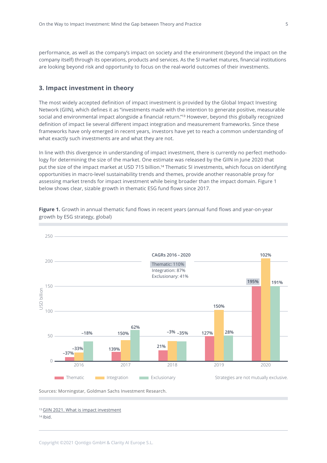<span id="page-4-0"></span>performance, as well as the company's impact on society and the environment (beyond the impact on the company itself) through its operations, products and services. As the SI market matures, financial institutions are looking beyond risk and opportunity to focus on the real-world outcomes of their investments.

# **3. Impact investment in theory**

The most widely accepted definition of impact investment is provided by the Global Impact Investing Network (GIIN), which defines it as "investments made with the intention to generate positive, measurable social and environmental impact alongside a financial return."<sup>13</sup> However, beyond this globally recognized definition of impact lie several different impact integration and measurement frameworks. Since these frameworks have only emerged in recent years, investors have yet to reach a common understanding of what exactly such investments are and what they are not.

In line with this divergence in understanding of impact investment, there is currently no perfect methodology for determining the size of the market. One estimate was released by the GIIN in June 2020 that put the size of the impact market at USD 715 billion. <sup>14</sup> Thematic SI investments, which focus on identifying opportunities in macro-level sustainability trends and themes, provide another reasonable proxy for assessing market trends for impact investment while being broader than the impact domain. Figure 1 below shows clear, sizable growth in thematic ESG fund flows since 2017.



**Figure 1.** Growth in annual thematic fund flows in recent years (annual fund flows and year-on-year growth by ESG strategy, global)

Sources: Morningstar, Goldman Sachs Investment Research.

 $14$  Ibid.

<sup>13</sup> GIIN 2021. What is impact [investment](https://thegiin.org/impact-investing/need-to-know/#what-is-impact-investing)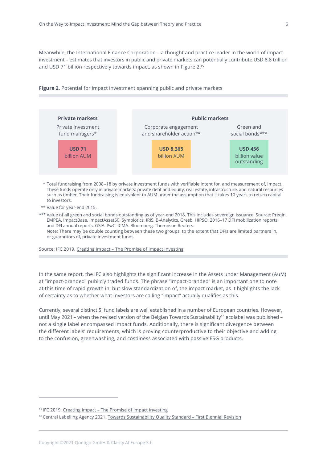Meanwhile, the International Finance Corporation – a thought and practice leader in the world of impact investment – estimates that investors in public and private markets can potentially contribute USD 8.8 trillion and USD 71 billion respectively towards impact, as shown in Figure 2. 15





- \*\*\* Total fundraising from 2008–18 by private investment funds with verifiable intent for, and measurement of, impact. These funds operate only in private markets: private debt and equity, real estate, infrastructure, and natural resources such as timber. Their fundraising is equivalent to AUM under the assumption that it takes 10 years to return capital to investors.
- \*\*\* Value for year-end 2015.

\*\*\* Value of all green and social bonds outstanding as of year-end 2018. This includes sovereign issuance. Source: Preqin, EMPEA, ImpactBase, ImpactAsset50, Symbiotics, IRIS, B-Analytics, Gresb, HIPSO, 2016–17 DFI mobilization reports, and DFI annual reports. GSIA. PwC. ICMA. Bloomberg. Thompson Reuters. Note: There may be double counting between these two groups, to the extent that DFIs are limited partners in, or guarantors of, private investment funds.

Source: IFC 2019. Creating Impact – The Promise of Impact [Investing](https://www.ifc.org/wps/wcm/connect/66e30dce-0cdd-4490-93e4-d5f895c5e3fc/The-Promise-of-Impact-Investing.pdf?MOD=AJPERES&CVID=mHZTSds)

In the same report, the IFC also highlights the significant increase in the Assets under Management (AuM) at "impact-branded" publicly traded funds. The phrase "impact-branded" is an important one to note at this time of rapid growth in, but slow standardization of, the impact market, as it highlights the lack of certainty as to whether what investors are calling "impact" actually qualifies as this.

Currently, several distinct SI fund labels are well established in a number of European countries. However, until May 2021 – when the revised version of the Belgian Towards Sustainability<sup>16</sup> ecolabel was published – not a single label encompassed impact funds. Additionally, there is significant divergence between the different labels' requirements, which is proving counterproductive to their objective and adding to the confusion, greenwashing, and costliness associated with passive ESG products.

<sup>15</sup> IFC 2019. Creating Impact - The Promise of Impact [Investing](https://www.ifc.org/wps/wcm/connect/66e30dce-0cdd-4490-93e4-d5f895c5e3fc/The-Promise-of-Impact-Investing.pdf?MOD=AJPERES&CVID=mHZTSds)

<sup>&</sup>lt;sup>16</sup> Central Labelling Agency 2021. Towards [Sustainability](https://www.towardssustainability.be/) Quality Standard - First Biennial Revision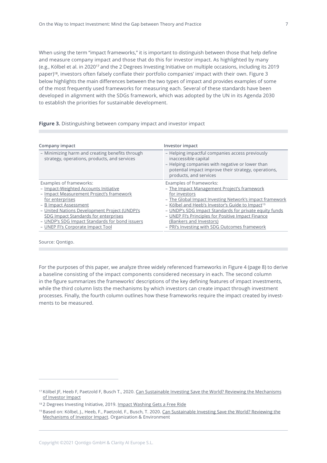When using the term "impact frameworks," it is important to distinguish between those that help define and measure company impact and those that do this for investor impact. As highlighted by many (e.g., Kölbel et al. in 202017 and the 2 Degrees Investing Initiative on multiple occasions, including its 2019 paper)18, investors often falsely conflate their portfolio companies' impact with their own. Figure 3 below highlights the main differences between the two types of impact and provides examples of some of the most frequently used frameworks for measuring each. Several of these standards have been developed in alignment with the SDGs framework, which was adopted by the UN in its Agenda 2030 to establish the priorities for sustainable development.

# **Figure 3.** Distinguishing between company impact and investor impact

| Company impact                                                                                               | Investor impact                                                                                                                                                                                              |
|--------------------------------------------------------------------------------------------------------------|--------------------------------------------------------------------------------------------------------------------------------------------------------------------------------------------------------------|
| - Minimizing harm and creating benefits through<br>strategy, operations, products, and services              | - Helping impactful companies access previously<br>inaccessible capital<br>- Helping companies with negative or lower than<br>potential impact improve their strategy, operations,<br>products, and services |
| Examples of frameworks:<br>- Impact-Weighted Accounts Initiative<br>- Impact Measurement Project's framework | Examples of frameworks:<br>- The Impact Management Project's framework<br>for investors                                                                                                                      |
| for enterprises                                                                                              | - The Global Impact Investing Network's impact framework                                                                                                                                                     |
| - B Impact Assessment<br>- United Nations Development Project (UNDP)'s                                       | - Kölbel and Heeb's Investor's Guide to Impact <sup>19</sup><br>- UNDP's SDG Impact Standards for private equity funds                                                                                       |
| SDG Impact Standards for enterprises<br>- UNDP's SDG Impact Standards for bond issuers                       | - UNEP FI's Principles for Positive Impact Finance<br>(Bankers and Investors)                                                                                                                                |
| - UNEP FI's Corporate Impact Tool                                                                            | - PRI's Investing with SDG Outcomes framework                                                                                                                                                                |

Source: Qontigo.

For the purposes of this paper, we analyze three widely referenced frameworks in Figure 4 (page 8) to derive a baseline consisting of the impact components considered necessary in each. The second column in the figure summarizes the frameworks' descriptions of the key defining features of impact investments, while the third column lists the mechanisms by which investors can create impact through investment processes. Finally, the fourth column outlines how these frameworks require the impact created by investments to be measured.

<sup>&</sup>lt;sup>17</sup> Kölbel JF, Heeb F, Paetzold F, Busch T., 2020. Can Sustainable Investing Save the World? Reviewing the [Mechanisms](https://journals.sagepub.com/doi/full/10.1177/1086026620919202) of [Investor](https://journals.sagepub.com/doi/full/10.1177/1086026620919202) Impact

<sup>18 2</sup> Degrees Investing Initiative, 2019. Impact [Washing](https://2degrees-investing.org/wp-content/uploads/2019/06/2019-Paper-Impact-washing.pdf) Gets a Free Ride

<sup>19</sup> Based on: Kölbel, J., Heeb, F., Paetzold, F., Busch, T. 2020. Can [Sustainable](https://journals.sagepub.com/doi/full/10.1177/1086026620919202) Investing Save the World? Reviewing the [Mechanisms](https://journals.sagepub.com/doi/full/10.1177/1086026620919202) of Investor Impact. Organization & Environment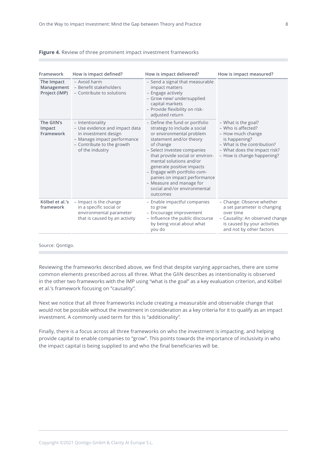| Framework                                 | How is impact defined?                                                                                                                                     | How is impact delivered?                                                                                                                                                                                                                                                                                                                                                                            | How is impact measured?                                                                                                                                                      |
|-------------------------------------------|------------------------------------------------------------------------------------------------------------------------------------------------------------|-----------------------------------------------------------------------------------------------------------------------------------------------------------------------------------------------------------------------------------------------------------------------------------------------------------------------------------------------------------------------------------------------------|------------------------------------------------------------------------------------------------------------------------------------------------------------------------------|
| The Impact<br>Management<br>Project (IMP) | - Avoid harm<br>- Benefit stakeholders<br>- Contribute to solutions                                                                                        | - Send a signal that measurable<br>impact matters<br>- Engage actively<br>- Grow new/ undersupplied<br>capital markets<br>- Provide flexibility on risk-<br>adjusted return                                                                                                                                                                                                                         |                                                                                                                                                                              |
| The GIIN's<br>Impact<br>Framework         | - Intentionality<br>- Use evidence and impact data<br>in investment design<br>- Manage impact performance<br>- Contribute to the growth<br>of the industry | - Define the fund or portfolio<br>strategy to include a social<br>or environmental problem<br>statement and/or theory<br>of change<br>- Select investee companies<br>that provide social or environ-<br>mental solutions and/or<br>generate positive impacts<br>- Engage with portfolio com-<br>panies on impact performance<br>- Measure and manage for<br>social and/or environmental<br>outcomes | - What is the goal?<br>- Who is affected?<br>- How much change<br>is happening?<br>- What is the contribution?<br>- What does the impact risk?<br>- How is change happening? |
| Kölbel et al.'s<br>framework              | - Impact is the change<br>in a specific social or<br>environmental parameter<br>that is caused by an activity                                              | - Enable impactful companies<br>to grow<br>- Encourage improvement<br>- Influence the public discourse<br>by being vocal about what<br>you do                                                                                                                                                                                                                                                       | - Change: Observe whether<br>a set parameter is changing<br>over time<br>- Causality: An observed change<br>is caused by your activities<br>and not by other factors         |

## **Figure 4.** Review of three prominent impact investment frameworks

Source: Qontigo.

Reviewing the frameworks described above, we find that despite varying approaches, there are some common elements prescribed across all three. What the GIIN describes as intentionality is observed in the other two frameworks with the IMP using "what is the goal" as a key evaluation criterion, and Kölbel et al.'s framework focusing on "causality".

Next we notice that all three frameworks include creating a measurable and observable change that would not be possible without the investment in consideration as a key criteria for it to qualify as an impact investment. A commonly used term for this is "additionality".

Finally, there is a focus across all three frameworks on who the investment is impacting, and helping provide capital to enable companies to "grow". This points towards the importance of inclusivity in who the impact capital is being supplied to and who the final beneficiaries will be.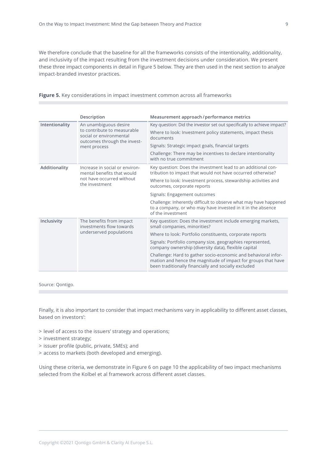We therefore conclude that the baseline for all the frameworks consists of the intentionality, additionality, and inclusivity of the impact resulting from the investment decisions under consideration. We present these three impact components in detail in Figure 5 below. They are then used in the next section to analyze impact-branded investor practices.

|                                                                                                                              | Description                                                                                                                 | Measurement approach/performance metrics                                                                                                                                                |
|------------------------------------------------------------------------------------------------------------------------------|-----------------------------------------------------------------------------------------------------------------------------|-----------------------------------------------------------------------------------------------------------------------------------------------------------------------------------------|
| Intentionality                                                                                                               | An unambiguous desire                                                                                                       | Key question: Did the investor set out specifically to achieve impact?                                                                                                                  |
|                                                                                                                              | to contribute to measurable<br>social or environmental                                                                      | Where to look: Investment policy statements, impact thesis<br>documents                                                                                                                 |
|                                                                                                                              | outcomes through the invest-<br>ment process                                                                                | Signals: Strategic impact goals, financial targets                                                                                                                                      |
|                                                                                                                              |                                                                                                                             | Challenge: There may be incentives to declare intentionality<br>with no true commitment                                                                                                 |
| Additionality<br>Increase in social or environ-<br>mental benefits that would<br>not have occurred without<br>the investment | Key question: Does the investment lead to an additional con-<br>tribution to impact that would not have occurred otherwise? |                                                                                                                                                                                         |
|                                                                                                                              |                                                                                                                             | Where to look: Investment process, stewardship activities and<br>outcomes, corporate reports                                                                                            |
|                                                                                                                              | Signals: Engagement outcomes                                                                                                |                                                                                                                                                                                         |
|                                                                                                                              |                                                                                                                             | Challenge: Inherently difficult to observe what may have happened<br>to a company, or who may have invested in it in the absence<br>of the investment                                   |
| Inclusivity<br>The benefits from impact<br>investments flow towards<br>underserved populations                               | Key question: Does the investment include emerging markets,<br>small companies, minorities?                                 |                                                                                                                                                                                         |
|                                                                                                                              |                                                                                                                             | Where to look: Portfolio constituents, corporate reports                                                                                                                                |
|                                                                                                                              |                                                                                                                             | Signals: Portfolio company size, geographies represented,<br>company ownership (diversity data), flexible capital                                                                       |
|                                                                                                                              |                                                                                                                             | Challenge: Hard to gather socio-economic and behavioral infor-<br>mation and hence the magnitude of impact for groups that have<br>been traditionally financially and socially excluded |

**Figure 5.** Key considerations in impact investment common across all frameworks

Source: Qontigo.

Finally, it is also important to consider that impact mechanisms vary in applicability to different asset classes, based on investors':

- > level of access to the issuers' strategy and operations;
- > investment strategy;
- > issuer profile (public, private, SMEs); and
- > access to markets (both developed and emerging).

Using these criteria, we demonstrate in Figure 6 on page 10 the applicability of two impact mechanisms selected from the Kolbel et al framework across different asset classes.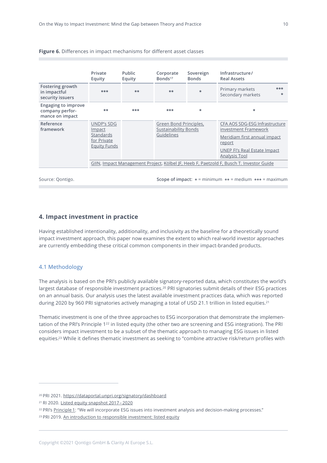|                                                                  | Private<br>Equity                                                                       | <b>Public</b><br>Equity | Corporate<br>Bonds <sup>17</sup>                             | Sovereign<br><b>Bonds</b> | Infrastructure/<br><b>Real Assets</b>                                                                                                                           |
|------------------------------------------------------------------|-----------------------------------------------------------------------------------------|-------------------------|--------------------------------------------------------------|---------------------------|-----------------------------------------------------------------------------------------------------------------------------------------------------------------|
| Fostering growth<br>in impactful<br>security issuers             | ***                                                                                     | $***$                   | $+ +$                                                        | $\star$                   | ***<br>Primary markets<br>Secondary markets<br>$\star$                                                                                                          |
| <b>Engaging to improve</b><br>company perfor-<br>mance on impact | $***$                                                                                   | ***                     | ***                                                          | $\star$                   | $\star$                                                                                                                                                         |
| Reference<br>framework                                           | <b>UNDP's SDG</b><br>Impact<br>Standards<br>for Private<br><b>Equity Funds</b>          |                         | Green Bond Principles,<br>Sustainability Bonds<br>Guidelines |                           | CFA AOS SDG-ESG Infrastructure<br>investment Framework<br>Meridiam first annual impact<br>report<br><b>UNEP FI's Real Estate Impact</b><br><b>Analysis Tool</b> |
|                                                                  | GIIN, Impact Management Project, Kölbel JF, Heeb F, Paetzold F, Busch T. Investor Guide |                         |                                                              |                           |                                                                                                                                                                 |

## <span id="page-9-0"></span>**Figure 6.** Differences in impact mechanisms for different asset classes

Source: Qontigo.

**Scope of impact: \*** = minimum **\*\*** = medium **\*\*\*** = maximum

# **4. Impact investment in practice**

Having established intentionality, additionality, and inclusivity as the baseline for a theoretically sound impact investment approach, this paper now examines the extent to which real-world investor approaches are currently embedding these critical common components in their impact-branded products.

# 4.1 Methodology

The analysis is based on the PRI's publicly available signatory-reported data, which constitutes the world's largest database of responsible investment practices.<sup>20</sup> PRI signatories submit details of their ESG practices on an annual basis. Our analysis uses the latest available investment practices data, which was reported during 2020 by 960 PRI signatories actively managing a total of USD 21.1 trillion in listed equities.<sup>21</sup>

Thematic investment is one of the three approaches to ESG incorporation that demonstrate the implementation of the PRI's Principle 122 in listed equity (the other two are screening and ESG integration). The PRI considers impact investment to be a subset of the thematic approach to managing ESG issues in listed equities. <sup>23</sup> While it defines thematic investment as seeking to "combine attractive risk/return profiles with

<sup>20</sup> PRI 2021. <https://dataportal.unpri.org/signatory/dashboard>

<sup>21</sup> RI 2020. Listed equity [snapshot](https://www.unpri.org/listed-equity/listed-equity-snapshot-2017-2020/6541.article) 2017– 2020

<sup>&</sup>lt;sup>22</sup> PRI's [Principle](https://www.unpri.org/pri/what-are-the-principles-for-responsible-investment) 1: "We will incorporate ESG issues into investment analysis and decision-making processes."

<sup>&</sup>lt;sup>23</sup> PRI 2019. An [introduction](https://www.unpri.org/an-introduction-to-responsible-investment/an-introduction-to-responsible-investment-listed-equity/4932.article) to responsible investment: listed equity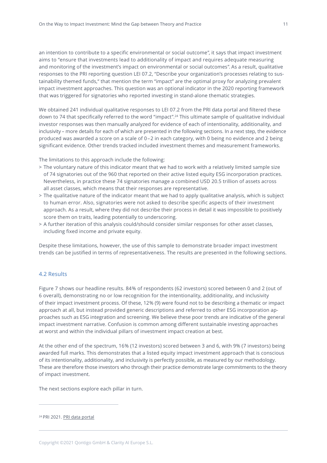<span id="page-10-0"></span>an intention to contribute to a specific environmental or social outcome", it says that impact investment aims to "ensure that investments lead to additionality of impact and requires adequate measuring and monitoring of the investment's impact on environmental or social outcomes". As a result, qualitative responses to the PRI reporting question LEI 07.2, "Describe your organization's processes relating to sustainability themed funds," that mention the term "impact" are the optimal proxy for analyzing prevalent impact investment approaches. This question was an optional indicator in the 2020 reporting framework that was triggered for signatories who reported investing in stand-alone thematic strategies.

We obtained 241 individual qualitative responses to LEI 07.2 from the PRI data portal and filtered these down to 74 that specifically referred to the word "impact".<sup>24</sup> This ultimate sample of qualitative individual investor responses was then manually analyzed for evidence of each of intentionality, additionality, and inclusivity – more details for each of which are presented in the following sections. In a next step, the evidence produced was awarded a score on a scale of 0–2 in each category, with 0 being no evidence and 2 being significant evidence. Other trends tracked included investment themes and measurement frameworks.

The limitations to this approach include the following:

- > The voluntary nature of this indicator meant that we had to work with a relatively limited sample size of 74 signatories out of the 960 that reported on their active listed equity ESG incorporation practices. Nevertheless, in practice these 74 signatories manage a combined USD 20.5 trillion of assets across all asset classes, which means that their responses are representative.
- > The qualitative nature of the indicator meant that we had to apply qualitative analysis, which is subject to human error. Also, signatories were not asked to describe specific aspects of their investment approach. As a result, where they did not describe their process in detail it was impossible to positively score them on traits, leading potentially to underscoring.
- > A further iteration of this analysis could/should consider similar responses for other asset classes, including fixed income and private equity.

Despite these limitations, however, the use of this sample to demonstrate broader impact investment trends can be justified in terms of representativeness. The results are presented in the following sections.

# 4.2 Results

Figure 7 shows our headline results. 84% of respondents (62 investors) scored between 0 and 2 (out of 6 overall), demonstrating no or low recognition for the intentionality, additionality, and inclusivity of their impact investment process. Of these, 12% (9) were found not to be describing a thematic or impact approach at all, but instead provided generic descriptions and referred to other ESG incorporation approaches such as ESG integration and screening. We believe these poor trends are indicative of the general impact investment narrative. Confusion is common among different sustainable investing approaches at worst and within the individual pillars of investment impact creation at best.

At the other end of the spectrum, 16% (12 investors) scored between 3 and 6, with 9% (7 investors) being awarded full marks. This demonstrates that a listed equity impact investment approach that is conscious of its intentionality, additionality, and inclusivity is perfectly possible, as measured by our methodology. These are therefore those investors who through their practice demonstrate large commitments to the theory of impact investment.

The next sections explore each pillar in turn.

<sup>24</sup> PRI 2021. PRI data [portal](https://www.unpri.org/signatory-resources/pri-data-portal-explore-signatories-reporting-data/391.article)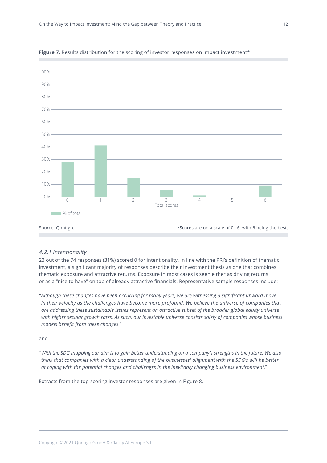

<span id="page-11-0"></span>

# *4.2.1 Intentionality*

23 out of the 74 responses (31%) scored 0 for intentionality. In line with the PRI's definition of thematic investment, a significant majority of responses describe their investment thesis as one that combines thematic exposure and attractive returns. Exposure in most cases is seen either as driving returns or as a "nice to have" on top of already attractive financials. Representative sample responses include:

*"Although these changes have been occurring for many years, we are witnessing a significant upward move in their velocity as the challenges have become more profound. We believe the universe of companies that are addressing these sustainable issues represent an attractive subset of the broader global equity universe with higher secular growth rates. As such, our investable universe consists solely of companies whose business models benefit from these changes."*

# and

"With the SDG mapping our aim is to gain better understanding on a company's strengths in the future. We also think that companies with a clear understanding of the businesses' alignment with the SDG's will be better *at coping with the potential changes and challenges in the inevitably changing business environment."*

Extracts from the top-scoring investor responses are given in Figure 8.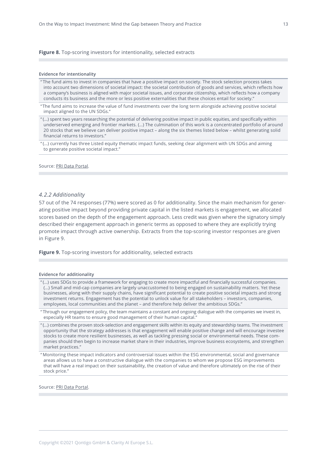## <span id="page-12-0"></span>**Figure 8.** Top-scoring investors for intentionality, selected extracts

## **Evidence for intentionality**

" The fund aims to invest in companies that have a positive impact on society. The stock selection process takes into account two dimensions of societal impact: the societal contribution of goods and services, which reflects how a company's business is aligned with major societal issues, and corporate citizenship, which reflects how a company conducts its business and the more or less positive externalities that these choices entail for society."

"The fund aims to increase the value of fund investments over the long term alongside achieving positive societal impact aligned to the UN SDGs."

" (…) spent two years researching the potential of delivering positive impact in public equities, and specifically within underserved emerging and frontier markets. (…) The culmination of this work is a concentrated portfolio of around 20 stocks that we believe can deliver positive impact – along the six themes listed below – whilst generating solid financial returns to investors."

" (…) currently has three Listed equity thematic impact funds, seeking clear alignment with UN SDGs and aiming to generate positive societal impact."

Source: PRI Data [Portal.](https://www.unpri.org/signatory-resources/pri-data-portal-explore-signatories-reporting-data/391.article)

# *4.2.2 Additionality*

57 out of the 74 responses (77%) were scored as 0 for additionality. Since the main mechanism for generating positive impact beyond providing private capital in the listed markets is engagement, we allocated scores based on the depth of the engagement approach. Less credit was given where the signatory simply described their engagement approach in generic terms as opposed to where they are explicitly trying promote impact through active ownership. Extracts from the top-scoring investor responses are given in Figure 9.

**Figure 9.** Top-scoring investors for additionality, selected extracts

## **Evidence for additionality**

" (…) uses SDGs to provide a framework for engaging to create more impactful and financially successful companies. (…) Small and mid-cap companies are largely unaccustomed to being engaged on sustainability matters. Yet these businesses, along with their supply chains, have significant potential to create positive societal impacts and strong investment returns. Engagement has the potential to unlock value for all stakeholders – investors, companies, employees, local communities and the planet – and therefore help deliver the ambitious SDGs."

" Through our engagement policy, the team maintains a constant and ongoing dialogue with the companies we invest in, especially HR teams to ensure good management of their human capital."

" (…) combines the proven stock-selection and engagement skills within its equity and stewardship teams. The investment opportunity that the strategy addresses is that engagement will enable positive change and will encourage investee stocks to create more resilient businesses, as well as tackling pressing social or environmental needs. These companies should then begin to increase market share in their industries, improve business ecosystems, and strengthen market practices."

" Monitoring these impact indicators and controversial issues within the ESG environmental, social and governance areas allows us to have a constructive dialogue with the companies to whom we propose ESG improvements that will have a real impact on their sustainability, the creation of value and therefore ultimately on the rise of their stock price."

Source: PRI Data [Portal.](https://www.unpri.org/signatory-resources/pri-data-portal-explore-signatories-reporting-data/391.article)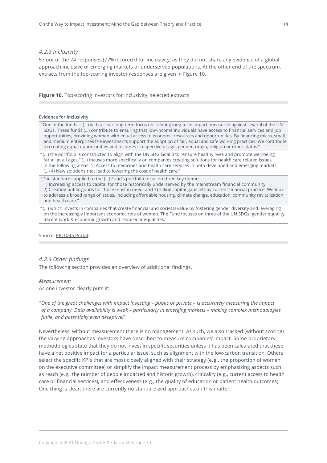# <span id="page-13-0"></span>*4.2.3 Inclusivity*

57 out of the 74 responses (77%) scored 0 for inclusivity, as they did not share any evidence of a global approach inclusive of emerging markets or underserved populations. At the other end of the spectrum, extracts from the top-scoring investor responses are given in Figure 10.

## **Figure 10.** Top-scoring investors for inclusivity, selected extracts

## **Evidence for inclusivity**

" One of the funds is (…) with a clear long-term focus on creating long-term impact, measured against several of the UN SDGs. These funds (…) contribute to ensuring that low-income individuals have access to financial services and job opportunities, providing women with equal access to economic resources and opportunities. By financing micro, small and medium enterprises the investments support the adoption of fair, equal and safe working practices. We contribute to creating equal opportunities and incomes irrespective of age, gender, origin, religion or other status."

" (…) the portfolio is constructed to align with the UN SDG Goal 3 to "ensure healthy lives and promote well-being for all at all ages." (…) focuses more specifically on companies creating solutions for health care related issues in the following areas: 1) Access to medicines and health care services in both developed and emerging markets; (…) 4) New solutions that lead to lowering the cost of health care."

" The standards applied to the (…) Fund's portfolio focus on three key themes:

1) Increasing access to capital for those historically underserved by the mainstream financial community; 2) Creating public goods for those most in need; and 3) Filling capital gaps left by current financial practice. We look to address a broad range of issues, including affordable housing, climate change, education, community revitalization and health care."

" (…) which invests in companies that create financial and societal value by fostering gender diversity and leveraging on the increasingly important economic role of women. The Fund focuses on three of the UN SDGs; gender equality, decent work & economic growth and reduced inequalities."

Source: PRI Data [Portal.](https://www.unpri.org/signatory-resources/pri-data-portal-explore-signatories-reporting-data/391.article)

# *4.2.4 Other findings*

The following section provides an overview of additional findings.

## *Measurement*

As one investor clearly puts it:

"One of the great challenges with impact investing - public or private - is accurately measuring the impact *of a company. Data availability is weak – particularly in emerging markets – making complex methodologies futile, and potentially even deceptive."*

Nevertheless, without measurement there is no management. As such, we also tracked (without scoring) the varying approaches investors have described to measure companies' impact. Some proprietary methodologies state that they do not invest in specific securities unless it has been calculated that these have a net positive impact for a particular issue, such as alignment with the low-carbon transition. Others select the specific KPIs that are most closely aligned with their strategy (e.g., the proportion of women on the executive committee) or simplify the impact measurement process by emphasizing aspects such as reach (e.g., the number of people impacted and historic growth), criticality (e.g., current access to health care or financial services), and effectiveness (e.g., the quality of education or patient health outcomes). One thing is clear: there are currently no standardized approaches on this matter.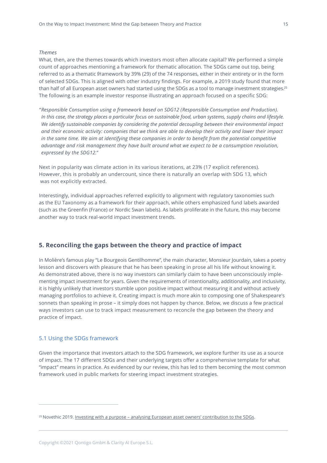# <span id="page-14-0"></span>*Themes*

What, then, are the themes towards which investors most often allocate capital? We performed a simple count of approaches mentioning a framework for thematic allocation. The SDGs came out top, being referred to as a thematic f⁄ramework by 39% (29) of the 74 responses, either in their entirety or in the form of selected SDGs. This is aligned with other industry findings. For example, a 2019 study found that more than half of all European asset owners had started using the SDGs as a tool to manage investment strategies.<sup>25</sup> The following is an example investor response illustrating an approach focused on a specific SDG:

*"Responsible Consumption using a framework based on SDG12 (Responsible Consumption and Production).* In this case, the strategy places a particular focus on sustainable food, urban systems, supply chains and lifestyle. *We identify sustainable companies by considering the potential decoupling between their environmental impact* and their economic activity: companies that we think are able to develop their activity and lower their impact in the same time. We aim at identifying these companies in order to benefit from the potential competitive *advantage and risk management they have built around what we expect to be a consumption revolution, expressed by the SDG12."*

Next in popularity was climate action in its various iterations, at 23% (17 explicit references). However, this is probably an undercount, since there is naturally an overlap with SDG 13, which was not explicitly extracted.

Interestingly, individual approaches referred explicitly to alignment with regulatory taxonomies such as the EU Taxonomy as a framework for their approach, while others emphasized fund labels awarded (such as the Greenfin (France) or Nordic Swan labels). As labels proliferate in the future, this may become another way to track real-world impact investment trends.

# **5. Reconciling the gaps between the theory and practice of impact**

In Molière's famous play "Le Bourgeois Gentilhomme", the main character, Monsieur Jourdain, takes a poetry lesson and discovers with pleasure that he has been speaking in prose all his life without knowing it. As demonstrated above, there is no way investors can similarly claim to have been unconsciously implementing impact investment for years. Given the requirements of intentionality, additionality, and inclusivity, it is highly unlikely that investors stumble upon positive impact without measuring it and without actively managing portfolios to achieve it. Creating impact is much more akin to composing one of Shakespeare's sonnets than speaking in prose – it simply does not happen by chance. Below, we discuss a few practical ways investors can use to track impact measurement to reconcile the gap between the theory and practice of impact.

## 5.1 Using the SDGs framework

Given the importance that investors attach to the SDG framework, we explore further its use as a source of impact. The 17 different SDGs and their underlying targets offer a comprehensive template for what "impact" means in practice. As evidenced by our review, this has led to them becoming the most common framework used in public markets for steering impact investment strategies.

<sup>&</sup>lt;sup>25</sup> Novethic 2019. Investing with a purpose – analysing European asset owners' [contribution](https://www.novethic.com/sustainable-finance-trends/detail/investing-with-a-purpose-analysing-european-asset-owners-contribution-to-the-sdgs.html) to the SDGs.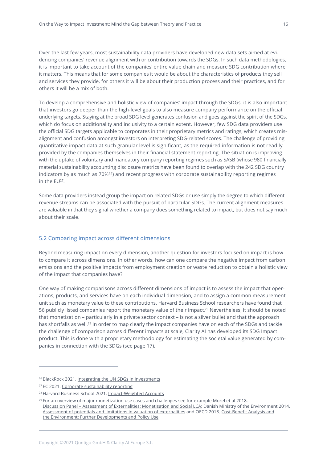<span id="page-15-0"></span>Over the last few years, most sustainability data providers have developed new data sets aimed at evidencing companies' revenue alignment with or contribution towards the SDGs. In such data methodologies, it is important to take account of the companies' entire value chain and measure SDG contribution where it matters. This means that for some companies it would be about the characteristics of products they sell and services they provide, for others it will be about their production process and their practices, and for others it will be a mix of both.

To develop a comprehensive and holistic view of companies' impact through the SDGs, it is also important that investors go deeper than the high-level goals to also measure company performance on the official underlying targets. Staying at the broad SDG level generates confusion and goes against the spirit of the SDGs, which do focus on additionality and inclusivity to a certain extent. However, few SDG data providers use the official SDG targets applicable to corporates in their proprietary metrics and ratings, which creates misalignment and confusion amongst investors on interpreting SDG-related scores. The challenge of providing quantitative impact data at such granular level is significant, as the required information is not readily provided by the companies themselves in their financial statement reporting. The situation is improving with the uptake of voluntary and mandatory company reporting regimes such as SASB (whose 980 financially material sustainability accounting disclosure metrics have been found to overlap with the 242 SDG country indicators by as much as  $70\%^{26}$ ) and recent progress with corporate sustainability reporting regimes in the EU27.

Some data providers instead group the impact on related SDGs or use simply the degree to which different revenue streams can be associated with the pursuit of particular SDGs. The current alignment measures are valuable in that they signal whether a company does something related to impact, but does not say much about their scale.

# 5.2 Comparing impact across different dimensions

Beyond measuring impact on every dimension, another question for investors focused on impact is how to compare it across dimensions. In other words, how can one compare the negative impact from carbon emissions and the positive impacts from employment creation or waste reduction to obtain a holistic view of the impact that companies have?

One way of making comparisons across different dimensions of impact is to assess the impact that operations, products, and services have on each individual dimension, and to assign a common measurement unit such as monetary value to these contributions. Harvard Business School researchers have found that 56 publicly listed companies report the monetary value of their impact.<sup>28</sup> Nevertheless, it should be noted that monetization – particularly in a private sector context – is not a silver bullet and that the approach has shortfalls as well. <sup>29</sup> In order to map clearly the impact companies have on each of the SDGs and tackle the challenge of comparison across different impacts at scale, Clarity AI has developed its SDG Impact product. This is done with a proprietary methodology for estimating the societal value generated by companies in connection with the SDGs (see page 17).

<sup>&</sup>lt;sup>26</sup> BlackRock 2021. Integrating the UN SDGs in [investments](https://www.blackrock.com/institutions/en-axj/insights/investment-actions/integrating-un-sdgs-in-investments)

<sup>27</sup> EC 2021. Corporate [sustainability](https://ec.europa.eu/info/business-economy-euro/company-reporting-and-auditing/company-reporting/corporate-sustainability-reporting_en) reporting

<sup>28</sup> Harvard Business School 2021. [Impact-Weighted](https://www.hbs.edu/impact-weighted-accounts/Pages/default.aspx) Accounts

<sup>&</sup>lt;sup>29</sup> For an overview of major monetization use cases and challenges see for example Morel et al 2018. Discussion Panel – Assessment of Externalities: [Monetisation](https://link.springer.com/chapter/10.1007/978-3-319-66981-6_43) and Social LCA; Danish Ministry of the Environment 2014. Assessment of potentials and limitations in valuation of [externalities](https://mst.dk/service/publikationer/publikationsarkiv/2014/apr/assessment-of-potentials-and-limitations-in-valuation-of-externalities/) and OECD 2018. [Cost-Benefit](https://www.oecd.org/env/tools-evaluation/CBA-brochure-web.pdf) Analysis and the Environment: Further [Developments](https://www.oecd.org/env/tools-evaluation/CBA-brochure-web.pdf) and Policy Use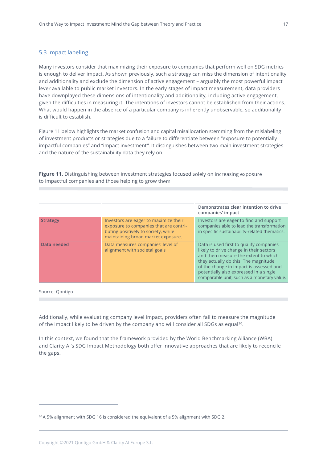# <span id="page-16-0"></span>5.3 Impact labeling

Many investors consider that maximizing their exposure to companies that perform well on SDG metrics is enough to deliver impact. As shown previously, such a strategy can miss the dimension of intentionality and additionality and exclude the dimension of active engagement – arguably the most powerful impact lever available to public market investors. In the early stages of impact measurement, data providers have downplayed these dimensions of intentionality and additionality, including active engagement, given the difficulties in measuring it. The intentions of investors cannot be established from their actions. What would happen in the absence of a particular company is inherently unobservable, so additionality is difficult to establish.

Figure 11 below highlights the market confusion and capital misallocation stemming from the mislabeling of investment products or strategies due to a failure to differentiate between "exposure to potentially impactful companies" and "impact investment". It distinguishes between two main investment strategies and the nature of the sustainability data they rely on.

**Figure 11.** Distinguishing between investment strategies focused solely on increasing exposure to impactful companies and those helping to grow them

|                 |                                                                                                                                                              | Demonstrates clear intention to drive<br>companies' impact                                                                                                                                                                                                                                            |
|-----------------|--------------------------------------------------------------------------------------------------------------------------------------------------------------|-------------------------------------------------------------------------------------------------------------------------------------------------------------------------------------------------------------------------------------------------------------------------------------------------------|
| <b>Strategy</b> | Investors are eager to maximize their<br>exposure to companies that are contri-<br>buting positively to society, while<br>maintaining broad market exposure. | Investors are eager to find and support<br>companies able to lead the transformation<br>in specific sustainability-related thematics.                                                                                                                                                                 |
| Data needed     | Data measures companies' level of<br>alignment with societal goals                                                                                           | Data is used first to qualify companies<br>likely to drive change in their sectors<br>and then measure the extent to which<br>they actually do this. The magnitude<br>of the change in impact is assessed and<br>potentially also expressed in a single<br>comparable unit, such as a monetary value. |
|                 |                                                                                                                                                              |                                                                                                                                                                                                                                                                                                       |

Source: Qontigo

Additionally, while evaluating company level impact, providers often fail to measure the magnitude of the impact likely to be driven by the company and will consider all SDGs as equal<sup>30</sup>.

In this context, we found that the framework provided by the World Benchmarking Alliance (WBA) and Clarity AI's SDG Impact Methodology both offer innovative approaches that are likely to reconcile the gaps.

<sup>&</sup>lt;sup>30</sup> A 5% alignment with SDG 16 is considered the equivalent of a 5% alignment with SDG 2.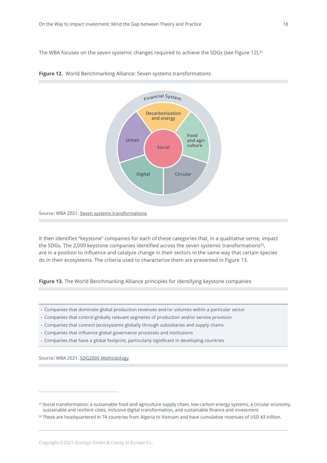The WBA focuses on the seven systemic changes required to achieve the SDGs (see Figure 12). 31



## **Figure 12.** World Benchmarking Alliance: Seven systems transformations

Source: WBA 2021. Seven systems [transformations](https://www.worldbenchmarkingalliance.org/seven-systems-transformations/)

It then identifies "keystone" companies for each of these categories that, in a qualitative sense, impact the SDGs. The 2,000 keystone companies identified across the seven systemic transformations $32$ , are in a position to influence and catalyze change in their sectors in the same way that certain species do in their ecosystems. The criteria used to characterize them are presented in Figure 13.

**Figure 13.** The World Benchmarking Alliance principles for identifying keystone companies

- Companies that dominate global production revenues and/or volumes within a particular sector
- Companies that control globally relevant segments of production and/or service provision
- Companies that connect (eco)systems globally through subsidiaries and supply chains
- Companies that influence global governance processes and institutions
- Companies that have a global footprint, particularly significant in developing countries

Source: WBA 2021. SDG2000 [Methodology](https://www.worldbenchmarkingalliance.org/research/sdg2000-methodology/)

<sup>&</sup>lt;sup>31</sup> Social transformation, a sustainable food and agriculture supply chain, low-carbon energy systems, a circular economy, sustainable and resilient cities, inclusive digital transformation, and sustainable finance and investment.

<sup>32</sup> These are headquartered in 74 countries from Algeria to Vietnam and have cumulative revenues of USD 43 trillion.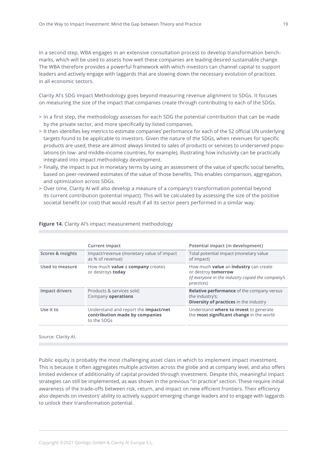In a second step, WBA engages in an extensive consultation process to develop transformation benchmarks, which will be used to assess how well these companies are leading desired sustainable change. The WBA therefore provides a powerful framework with which investors can channel capital to support leaders and actively engage with laggards that are slowing down the necessary evolution of practices in all economic sectors.

Clarity AI's SDG Impact Methodology goes beyond measuring revenue alignment to SDGs. It focuses on measuring the size of the impact that companies create through contributing to each of the SDGs.

- > In a first step, the methodology assesses for each SDG the potential contribution that can be made by the private sector, and more specifically by listed companies.
- > It then identifies key metrics to estimate companies' performance for each of the 52 official UN underlying targets found to be applicable to investors. Given the nature of the SDGs, when revenues for specific products are used, these are almost always limited to sales of products or services to underserved populations (in low- and middle-income countries, for example), illustrating how inclusivity can be practically integrated into impact methodology development.
- > Finally, the impact is put in monetary terms by using an assessment of the value of specific social benefits, based on peer-reviewed estimates of the value of those benefits. This enables comparison, aggregation, and optimization across SDGs.
- > Over time, Clarity AI will also develop a measure of a company's transformation potential beyond its current contribution (potential impact). This will be calculated by assessing the size of the positive societal benefit (or cost) that would result if all its sector peers performed in a similar way.

|                   | <b>Current impact</b>                                                                        | Potential impact (in development)                                                                                                             |
|-------------------|----------------------------------------------------------------------------------------------|-----------------------------------------------------------------------------------------------------------------------------------------------|
| Scores & insights | Impact/revenue (monetary value of impact)<br>as % of revenue)                                | Total potential impact (monetary value<br>of impact)                                                                                          |
| Used to measure   | How much <b>value</b> a <b>company</b> creates<br>or destroys today                          | How much <b>value</b> an <i>industry</i> can create<br>or destroy tomorrow<br>(if everyone in the industry copied the company's<br>practices) |
| Impact drivers    | Products & services sold;<br>Company operations                                              | Relative performance of the company versus<br>the industry's;<br><b>Diversity of practices</b> in the industry                                |
| Use it to         | Understand and report the <i>impact/net</i><br>contribution made by companies<br>to the SDGs | Understand where to invest to generate<br>the most significant change in the world                                                            |

## **Figure 14.** Clarity AI's impact measurement methodology

Source: Clarity AI.

Public equity is probably the most challenging asset class in which to implement impact investment. This is because it often aggregates multiple activities across the globe and at company level, and also offers limited evidence of additionality of capital provided through investment. Despite this, meaningful impact strategies can still be implemented, as was shown in the previous "in practice" section. These require initial awareness of the trade-offs between risk, return, and impact on new efficient frontiers. Their efficiency also depends on investors' ability to actively support emerging change leaders and to engage with laggards to unlock their transformation potential.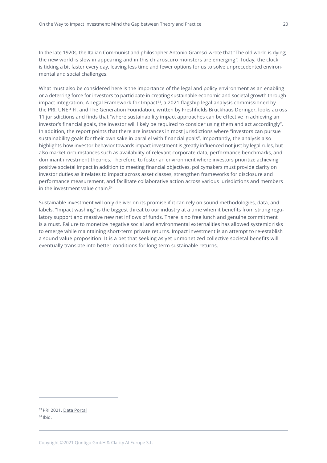In the late 1920s, the Italian Communist and philosopher Antonio Gramsci wrote that "The old world is dying; the new world is slow in appearing and in this chiaroscuro monsters are emerging". Today, the clock is ticking a bit faster every day, leaving less time and fewer options for us to solve unprecedented environmental and social challenges.

What must also be considered here is the importance of the legal and policy environment as an enabling or a deterring force for investors to participate in creating sustainable economic and societal growth through impact integration. A Legal Framework for Impact<sup>33</sup>, a 2021 flagship legal analysis commissioned by the PRI, UNEP FI, and The Generation Foundation, written by Freshfields Bruckhaus Deringer, looks across 11 jurisdictions and finds that "where sustainability impact approaches can be effective in achieving an investor's financial goals, the investor will likely be required to consider using them and act accordingly". In addition, the report points that there are instances in most jurisdictions where "investors can pursue sustainability goals for their own sake in parallel with financial goals". Importantly, the analysis also highlights how investor behavior towards impact investment is greatly influenced not just by legal rules, but also market circumstances such as availability of relevant corporate data, performance benchmarks, and dominant investment theories. Therefore, to foster an environment where investors prioritize achieving positive societal impact in addition to meeting financial objectives, policymakers must provide clarity on investor duties as it relates to impact across asset classes, strengthen frameworks for disclosure and performance measurement, and facilitate collaborative action across various jurisdictions and members in the investment value chain. 34

Sustainable investment will only deliver on its promise if it can rely on sound methodologies, data, and labels. "Impact washing" is the biggest threat to our industry at a time when it benefits from strong regulatory support and massive new net inflows of funds. There is no free lunch and genuine commitment is a must. Failure to monetize negative social and environmental externalities has allowed systemic risks to emerge while maintaining short-term private returns. Impact investment is an attempt to re-establish a sound value proposition. It is a bet that seeking as yet unmonetized collective societal benefits will eventually translate into better conditions for long-term sustainable returns.

<sup>33</sup> PRI 2021. Data [Portal](https://account.unpri.org/login?returl=https://dataportal.unpri.org) <sup>34</sup> Ibid.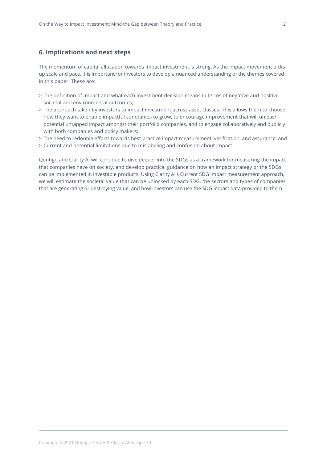# <span id="page-20-0"></span>**6. Implications and next steps**

The momentum of capital allocation towards impact investment is strong. As the impact movement picks up scale and pace, it is important for investors to develop a nuanced understanding of the themes covered in this paper. These are:

- > The definition of impact and what each investment decision means in terms of negative and positive societal and environmental outcomes;
- > The approach taken by investors to impact investment across asset classes. This allows them to choose how they want to enable impactful companies to grow, to encourage improvement that will unleash potential untapped impact amongst their portfolio companies, and to engage collaboratively and publicly with both companies and policy makers;
- > The need to redouble efforts towards best-practice impact measurement, verification, and assurance; and
- > Current and potential limitations due to mislabeling and confusion about impact.

Qontigo and Clarity AI will continue to dive deeper into the SDGs as a framework for measuring the impact that companies have on society, and develop practical guidance on how an impact strategy or the SDGs can be implemented in investable products. Using Clarity AI's Current SDG Impact measurement approach, we will estimate the societal value that can be unlocked by each SDG, the sectors and types of companies that are generating or destroying value, and how investors can use the SDG impact data provided to them.